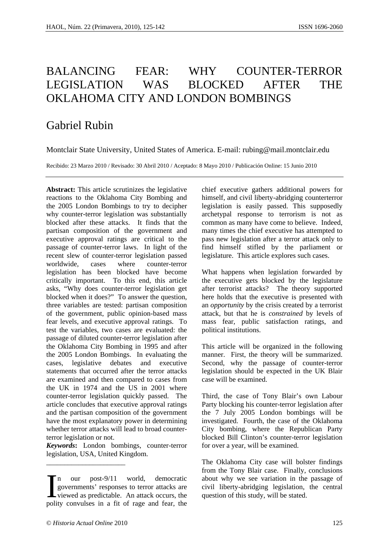# BALANCING FEAR: WHY COUNTER-TERROR LEGISLATION WAS BLOCKED AFTER THE OKLAHOMA CITY AND LONDON BOMBINGS

# Gabriel Rubin

Montclair State University, United States of America. E-mail: rubing@mail.montclair.edu

Recibido: 23 Marzo 2010 / Revisado: 30 Abril 2010 / Aceptado: 8 Mayo 2010 / Publicación Online: 15 Junio 2010

**Abstract:** This article scrutinizes the legislative reactions to the Oklahoma City Bombing and the 2005 London Bombings to try to decipher why counter-terror legislation was substantially blocked after these attacks. It finds that the partisan composition of the government and executive approval ratings are critical to the passage of counter-terror laws. In light of the recent slew of counter-terror legislation passed worldwide, cases where counter-terror legislation has been blocked have become critically important. To this end, this article asks, "Why does counter-terror legislation get blocked when it does?" To answer the question, three variables are tested: partisan composition of the government, public opinion-based mass fear levels, and executive approval ratings. To test the variables, two cases are evaluated: the passage of diluted counter-terror legislation after the Oklahoma City Bombing in 1995 and after the 2005 London Bombings. In evaluating the cases, legislative debates and executive statements that occurred after the terror attacks are examined and then compared to cases from the UK in 1974 and the US in 2001 where counter-terror legislation quickly passed. The article concludes that executive approval ratings and the partisan composition of the government have the most explanatory power in determining whether terror attacks will lead to broad counterterror legislation or not.

*Keywords***:** London bombings, counter-terror legislation, USA, United Kingdom.

n our post-9/11 world, democratic about why we see variation in the passage of governments' responses to terror attacks are civil liberty-abridging legislation, the central viewed as predictable. An attack occurs, the ques governments' responses to terror attacks are viewed as predictable. An attack occurs, the polity convulses in a fit of rage and fear, the

chief executive gathers additional powers for himself, and civil liberty-abridging counterterror legislation is easily passed. This supposedly archetypal response to terrorism is not as common as many have come to believe. Indeed, many times the chief executive has attempted to pass new legislation after a terror attack only to find himself stifled by the parliament or legislature. This article explores such cases.

What happens when legislation forwarded by the executive gets blocked by the legislature after terrorist attacks? The theory supported here holds that the executive is presented with an *opportunity* by the crisis created by a terrorist attack, but that he is *constrained* by levels of mass fear, public satisfaction ratings, and political institutions.

This article will be organized in the following manner. First, the theory will be summarized. Second, why the passage of counter-terror legislation should be expected in the UK Blair case will be examined.

Third, the case of Tony Blair's own Labour Party blocking his counter-terror legislation after the 7 July 2005 London bombings will be investigated. Fourth, the case of the Oklahoma City bombing, where the Republican Party blocked Bill Clinton's counter-terror legislation for over a year, will be examined.

The Oklahoma City case will bolster findings from the Tony Blair case. Finally, conclusions about why we see variation in the passage of

\_\_\_\_\_\_\_\_\_\_\_\_\_\_\_\_\_\_\_\_\_\_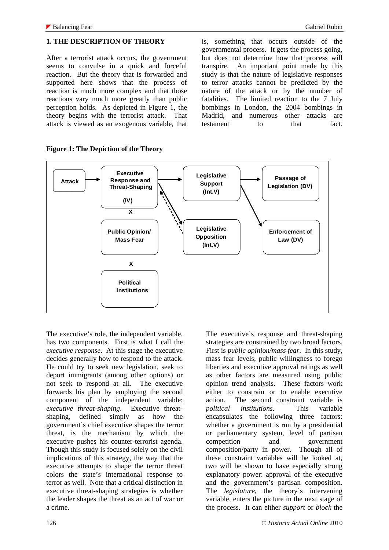#### **1. THE DESCRIPTION OF THEORY**

After a terrorist attack occurs, the government seems to convulse in a quick and forceful reaction. But the theory that is forwarded and supported here shows that the process of reaction is much more complex and that those reactions vary much more greatly than public perception holds. As depicted in Figure 1, the theory begins with the terrorist attack. That attack is viewed as an exogenous variable, that

is, something that occurs outside of the governmental process. It gets the process going, but does not determine how that process will transpire. An important point made by this study is that the nature of legislative responses to terror attacks cannot be predicted by the nature of the attack or by the number of fatalities. The limited reaction to the 7 July bombings in London, the 2004 bombings in Madrid, and numerous other attacks are testament to that fact.



The executive's role, the independent variable, has two components. First is what I call the *executive response*. At this stage the executive decides generally how to respond to the attack. He could try to seek new legislation, seek to deport immigrants (among other options) or not seek to respond at all. The executive forwards his plan by employing the second component of the independent variable: *executive threat-shaping*. Executive threatshaping, defined simply as how the government's chief executive shapes the terror threat, is the mechanism by which the executive pushes his counter-terrorist agenda. Though this study is focused solely on the civil implications of this strategy, the way that the executive attempts to shape the terror threat colors the state's international response to terror as well. Note that a critical distinction in executive threat-shaping strategies is whether the leader shapes the threat as an act of war or a crime.

The executive's response and threat-shaping strategies are constrained by two broad factors. First is *public opinion/mass fear*. In this study, mass fear levels, public willingness to forego liberties and executive approval ratings as well as other factors are measured using public opinion trend analysis. These factors work either to constrain or to enable executive action. The second constraint variable is *political institutions*. This variable encapsulates the following three factors: whether a government is run by a presidential or parliamentary system, level of partisan competition and government composition/party in power. Though all of these constraint variables will be looked at, two will be shown to have especially strong explanatory power: approval of the executive and the government's partisan composition. The *legislature*, the theory's intervening variable, enters the picture in the next stage of the process. It can either *support* or *block* the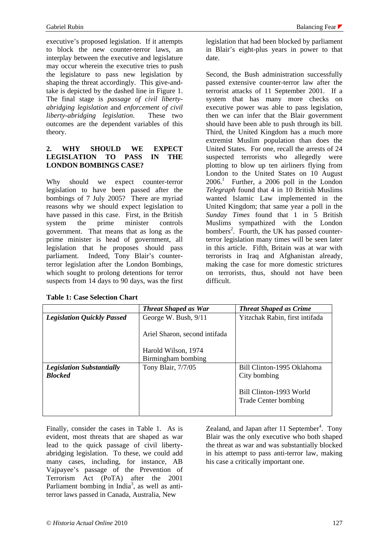executive's proposed legislation. If it attempts to block the new counter-terror laws, an interplay between the executive and legislature may occur wherein the executive tries to push the legislature to pass new legislation by shaping the threat accordingly. This give-andtake is depicted by the dashed line in Figure 1. The final stage is *passage of civil libertyabridging legislation* and *enforcement of civil liberty-abridging legislation*. These two outcomes are the dependent variables of this theory.

#### **2. WHY SHOULD WE EXPECT LEGISLATION TO PASS IN THE LONDON BOMBINGS CASE?**

Why should we expect counter-terror legislation to have been passed after the bombings of 7 July 2005? There are myriad reasons why we should expect legislation to have passed in this case. First, in the British system the prime minister controls government. That means that as long as the prime minister is head of government, all legislation that he proposes should pass parliament. Indeed, Tony Blair's counterterror legislation after the London Bombings, which sought to prolong detentions for terror suspects from 14 days to 90 days, was the first

legislation that had been blocked by parliament in Blair's eight-plus years in power to that date.

Second, the Bush administration successfully passed extensive counter-terror law after the terrorist attacks of 11 September 2001. If a system that has many more checks on executive power was able to pass legislation, then we can infer that the Blair government should have been able to push through its bill. Third, the United Kingdom has a much more extremist Muslim population than does the United States. For one, recall the arrests of 24 suspected terrorists who allegedly were plotting to blow up ten airliners flying from London to the United States on 10 August 2006.1 Further, a 2006 poll in the London *Telegraph* found that 4 in 10 British Muslims wanted Islamic Law implemented in the United Kingdom; that same year a poll in the *Sunday Times* found that 1 in 5 British Muslims sympathized with the London bombers<sup>2</sup>. Fourth, the UK has passed counterterror legislation many times will be seen later in this article. Fifth, Britain was at war with terrorists in Iraq and Afghanistan already, making the case for more domestic strictures on terrorists, thus, should not have been difficult.

|                                   | <b>Threat Shaped as War</b>   | <b>Threat Shaped as Crime</b>  |
|-----------------------------------|-------------------------------|--------------------------------|
| <b>Legislation Quickly Passed</b> | George W. Bush, 9/11          | Yitzchak Rabin, first intifada |
|                                   | Ariel Sharon, second intifada |                                |
|                                   | Harold Wilson, 1974           |                                |
|                                   | Birmingham bombing            |                                |
| <b>Legislation Substantially</b>  | Tony Blair, 7/7/05            | Bill Clinton-1995 Oklahoma     |
| <b>Blocked</b>                    |                               | City bombing                   |
|                                   |                               |                                |
|                                   |                               | Bill Clinton-1993 World        |
|                                   |                               | Trade Center bombing           |
|                                   |                               |                                |

Finally, consider the cases in Table 1. As is evident, most threats that are shaped as war lead to the quick passage of civil libertyabridging legislation. To these, we could add many cases, including, for instance, AB Vajpayee's passage of the Prevention of Terrorism Act (PoTA) after the 2001 Parliament bombing in India<sup>3</sup>, as well as antiterror laws passed in Canada, Australia, New

Zealand, and Japan after 11 September<sup>4</sup>. Tony Blair was the only executive who both shaped the threat as war and was substantially blocked in his attempt to pass anti-terror law, making his case a critically important one.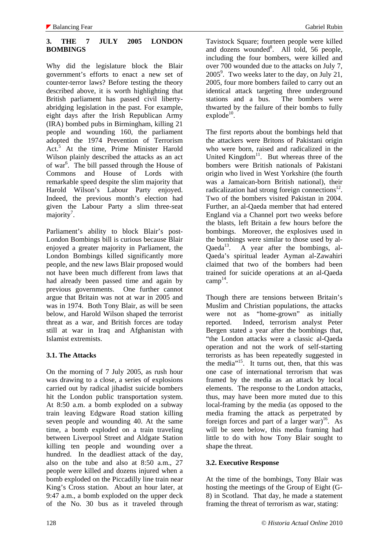# **3. THE 7 JULY 2005 LONDON BOMBINGS**

Why did the legislature block the Blair government's efforts to enact a new set of counter-terror laws? Before testing the theory described above, it is worth highlighting that British parliament has passed civil libertyabridging legislation in the past. For example, eight days after the Irish Republican Army (IRA) bombed pubs in Birmingham, killing 21 people and wounding 160, the parliament adopted the 1974 Prevention of Terrorism Act.<sup>5</sup> At the time, Prime Minister Harold Wilson plainly described the attacks as an act of war<sup>6</sup>. The bill passed through the House of Commons and House of Lords with remarkable speed despite the slim majority that Harold Wilson's Labour Party enjoyed. Indeed, the previous month's election had given the Labour Party a slim three-seat majority<sup>7</sup>.

Parliament's ability to block Blair's post-London Bombings bill is curious because Blair enjoyed a greater majority in Parliament, the London Bombings killed significantly more people, and the new laws Blair proposed would not have been much different from laws that had already been passed time and again by previous governments. One further cannot argue that Britain was not at war in 2005 and was in 1974. Both Tony Blair, as will be seen below, and Harold Wilson shaped the terrorist threat as a war, and British forces are today still at war in Iraq and Afghanistan with Islamist extremists.

## **3.1. The Attacks**

On the morning of 7 July 2005, as rush hour was drawing to a close, a series of explosions carried out by radical jihadist suicide bombers hit the London public transportation system. At 8:50 a.m. a bomb exploded on a subway train leaving Edgware Road station killing seven people and wounding 40. At the same time, a bomb exploded on a train traveling between Liverpool Street and Aldgate Station killing ten people and wounding over a hundred. In the deadliest attack of the day, also on the tube and also at 8:50 a.m., 27 people were killed and dozens injured when a bomb exploded on the Piccadilly line train near King's Cross station. About an hour later, at 9:47 a.m., a bomb exploded on the upper deck of the No. 30 bus as it traveled through Tavistock Square; fourteen people were killed and dozens wounded<sup>8</sup>. All told, 56 people, including the four bombers, were killed and over 700 wounded due to the attacks on July 7, 2005<sup>9</sup>. Two weeks later to the day, on July 21, 2005, four more bombers failed to carry out an identical attack targeting three underground stations and a bus. The bombers were thwarted by the failure of their bombs to fully  $exp$ lode $10$ .

The first reports about the bombings held that the attackers were Britons of Pakistani origin who were born, raised and radicalized in the United Kingdom<sup>11</sup>. But whereas three of the bombers were British nationals of Pakistani origin who lived in West Yorkshire (the fourth was a Jamaican-born British national), their radicalization had strong foreign connections $^{12}$ . Two of the bombers visited Pakistan in 2004. Further, an al-Qaeda member that had entered England via a Channel port two weeks before the blasts, left Britain a few hours before the bombings. Moreover, the explosives used in the bombings were similar to those used by al- $Oaeda<sup>13</sup>$ . A year after the bombings, al-Qaeda's spiritual leader Ayman al-Zawahiri claimed that two of the bombers had been trained for suicide operations at an al-Qaeda  $camp<sup>14</sup>$ .

Though there are tensions between Britain's Muslim and Christian populations, the attacks were not as "home-grown" as initially reported. Indeed, terrorism analyst Peter Bergen stated a year after the bombings that, "the London attacks were a classic al-Qaeda operation and not the work of self-starting terrorists as has been repeatedly suggested in the media $\frac{1}{15}$ . It turns out, then, that this was one case of international terrorism that was framed by the media as an attack by local elements. The response to the London attacks, thus, may have been more muted due to this local-framing by the media (as opposed to the media framing the attack as perpetrated by foreign forces and part of a larger war)<sup>16</sup>. As will be seen below, this media framing had little to do with how Tony Blair sought to shape the threat.

# **3.2. Executive Response**

At the time of the bombings, Tony Blair was hosting the meetings of the Group of Eight (G-8) in Scotland. That day, he made a statement framing the threat of terrorism as war, stating: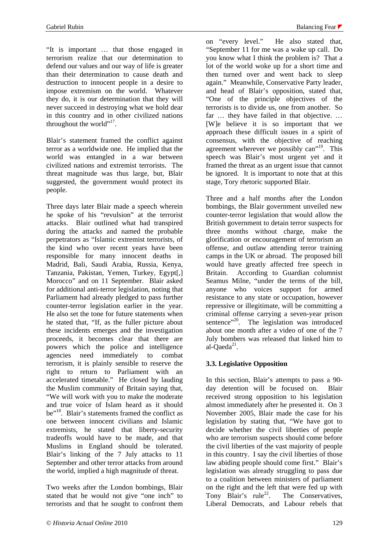"It is important … that those engaged in terrorism realize that our determination to defend our values and our way of life is greater than their determination to cause death and destruction to innocent people in a desire to impose extremism on the world. Whatever they do, it is our determination that they will never succeed in destroying what we hold dear in this country and in other civilized nations throughout the world".<sup>17</sup>.

Blair's statement framed the conflict against terror as a worldwide one. He implied that the world was entangled in a war between civilized nations and extremist terrorists. The threat magnitude was thus large, but, Blair suggested, the government would protect its people.

Three days later Blair made a speech wherein he spoke of his "revulsion" at the terrorist attacks. Blair outlined what had transpired during the attacks and named the probable perpetrators as "Islamic extremist terrorists, of the kind who over recent years have been responsible for many innocent deaths in Madrid, Bali, Saudi Arabia, Russia, Kenya, Tanzania, Pakistan, Yemen, Turkey, Egypt[,] Morocco" and on 11 September. Blair asked for additional anti-terror legislation, noting that Parliament had already pledged to pass further counter-terror legislation earlier in the year. He also set the tone for future statements when he stated that, "If, as the fuller picture about these incidents emerges and the investigation proceeds, it becomes clear that there are powers which the police and intelligence agencies need immediately to combat terrorism, it is plainly sensible to reserve the right to return to Parliament with an accelerated timetable." He closed by lauding the Muslim community of Britain saying that, "We will work with you to make the moderate and true voice of Islam heard as it should be"18. Blair's statements framed the conflict as one between innocent civilians and Islamic extremists, he stated that liberty-security tradeoffs would have to be made, and that Muslims in England should be tolerated. Blair's linking of the 7 July attacks to 11 September and other terror attacks from around the world, implied a high magnitude of threat.

Two weeks after the London bombings, Blair stated that he would not give "one inch" to terrorists and that he sought to confront them on "every level." He also stated that, "September 11 for me was a wake up call. Do you know what I think the problem is? That a lot of the world woke up for a short time and then turned over and went back to sleep again." Meanwhile, Conservative Party leader, and head of Blair's opposition, stated that, "One of the principle objectives of the terrorists is to divide us, one from another. So far ... they have failed in that objective. ... [W]e believe it is so important that we approach these difficult issues in a spirit of consensus, with the objective of reaching agreement wherever we possibly can"<sup>19</sup>. This speech was Blair's most urgent yet and it framed the threat as an urgent issue that cannot be ignored. It is important to note that at this stage, Tory rhetoric supported Blair.

Three and a half months after the London bombings, the Blair government unveiled new counter-terror legislation that would allow the British government to detain terror suspects for three months without charge, make the glorification or encouragement of terrorism an offense, and outlaw attending terror training camps in the UK or abroad. The proposed bill would have greatly affected free speech in Britain. According to Guardian columnist Seamus Milne, "under the terms of the bill, anyone who voices support for armed resistance to any state or occupation, however repressive or illegitimate, will be committing a criminal offense carrying a seven-year prison sentence"<sup>20</sup>. The legislation was introduced about one month after a video of one of the 7 July bombers was released that linked him to al-Oaed $a^{21}$ .

## **3.3. Legislative Opposition**

In this section, Blair's attempts to pass a 90 day detention will be focused on. Blair received strong opposition to his legislation almost immediately after he presented it. On 3 November 2005, Blair made the case for his legislation by stating that, "We have got to decide whether the civil liberties of people who are terrorism suspects should come before the civil liberties of the vast majority of people in this country. I say the civil liberties of those law abiding people should come first." Blair's legislation was already struggling to pass due to a coalition between ministers of parliament on the right and the left that were fed up with Tony Blair's  $rule^{22}$ . The Conservatives, Liberal Democrats, and Labour rebels that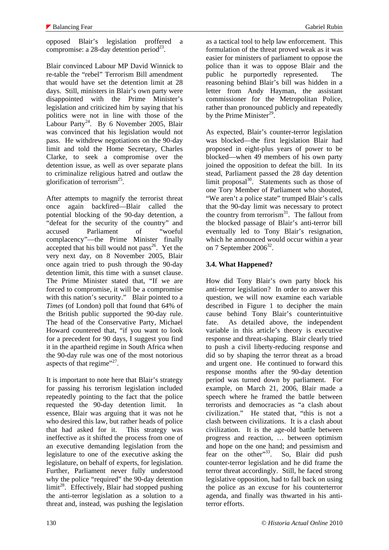Blair convinced Labour MP David Winnick to re-table the "rebel" Terrorism Bill amendment that would have set the detention limit at 28 days. Still, ministers in Blair's own party were disappointed with the Prime Minister's legislation and criticized him by saying that his politics were not in line with those of the Labour Party<sup>24</sup>. By 6 November 2005, Blair was convinced that his legislation would not pass. He withdrew negotiations on the 90-day limit and told the Home Secretary, Charles Clarke, to seek a compromise over the detention issue, as well as over separate plans to criminalize religious hatred and outlaw the glorification of terrorism<sup>25</sup>.

After attempts to magnify the terrorist threat once again backfired—Blair called the potential blocking of the 90-day detention, a "defeat for the security of the country" and accused Parliament of "woeful complacency"—the Prime Minister finally accepted that his bill would not pass<sup>26</sup>. Yet the very next day, on 8 November 2005, Blair once again tried to push through the 90-day detention limit, this time with a sunset clause. The Prime Minister stated that, "If we are forced to compromise, it will be a compromise with this nation's security." Blair pointed to a *Times* (of London) poll that found that 64% of the British public supported the 90-day rule. The head of the Conservative Party, Michael Howard countered that, "if you want to look for a precedent for 90 days, I suggest you find it in the apartheid regime in South Africa when the 90-day rule was one of the most notorious aspects of that regime"<sup>27</sup>.

It is important to note here that Blair's strategy for passing his terrorism legislation included repeatedly pointing to the fact that the police requested the 90-day detention limit. In essence, Blair was arguing that it was not he who desired this law, but rather heads of police that had asked for it. This strategy was ineffective as it shifted the process from one of an executive demanding legislation from the legislature to one of the executive asking the legislature, on behalf of experts, for legislation. Further, Parliament never fully understood why the police "required" the 90-day detention  $\lim^{28}$ . Effectively, Blair had stopped pushing the anti-terror legislation as a solution to a threat and, instead, was pushing the legislation as a tactical tool to help law enforcement. This formulation of the threat proved weak as it was easier for ministers of parliament to oppose the police than it was to oppose Blair and the public he purportedly represented. The reasoning behind Blair's bill was hidden in a letter from Andy Hayman, the assistant commissioner for the Metropolitan Police, rather than pronounced publicly and repeatedly by the Prime Minister<sup>29</sup>.

As expected, Blair's counter-terror legislation was blocked—the first legislation Blair had proposed in eight-plus years of power to be blocked—when 49 members of his own party joined the opposition to defeat the bill. In its stead, Parliament passed the 28 day detention limit proposal $30$ . Statements such as those of one Tory Member of Parliament who shouted, "We aren't a police state" trumped Blair's calls that the 90-day limit was necessary to protect the country from terrorism $31$ . The fallout from the blocked passage of Blair's anti-terror bill eventually led to Tony Blair's resignation, which he announced would occur within a year on 7 September  $2006^{32}$ .

# **3.4. What Happened?**

How did Tony Blair's own party block his anti-terror legislation? In order to answer this question, we will now examine each variable described in Figure 1 to decipher the main cause behind Tony Blair's counterintuitive fate. As detailed above, the independent variable in this article's theory is executive response and threat-shaping. Blair clearly tried to push a civil liberty-reducing response and did so by shaping the terror threat as a broad and urgent one. He continued to forward this response months after the 90-day detention period was turned down by parliament. For example, on March 21, 2006, Blair made a speech where he framed the battle between terrorists and democracies as "a clash about civilization." He stated that, "this is not a clash between civilizations. It is a clash about civilization. It is the age-old battle between progress and reaction, … between optimism and hope on the one hand; and pessimism and fear on the other"<sup>33</sup>. So, Blair did push counter-terror legislation and he did frame the terror threat accordingly. Still, he faced strong legislative opposition, had to fall back on using the police as an excuse for his counterterror agenda, and finally was thwarted in his antiterror efforts.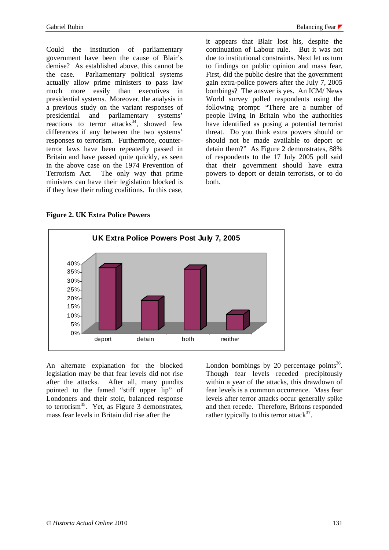Could the institution of parliamentary government have been the cause of Blair's demise? As established above, this cannot be the case. Parliamentary political systems actually allow prime ministers to pass law much more easily than executives in presidential systems. Moreover, the analysis in a previous study on the variant responses of presidential and parliamentary systems' reactions to terror attacks<sup>34</sup>, showed few differences if any between the two systems' responses to terrorism. Furthermore, counterterror laws have been repeatedly passed in Britain and have passed quite quickly, as seen in the above case on the 1974 Prevention of Terrorism Act. The only way that prime ministers can have their legislation blocked is if they lose their ruling coalitions. In this case,

it appears that Blair lost his, despite the continuation of Labour rule. But it was not due to institutional constraints. Next let us turn to findings on public opinion and mass fear. First, did the public desire that the government gain extra-police powers after the July 7, 2005 bombings? The answer is yes. An ICM/ News World survey polled respondents using the following prompt: "There are a number of people living in Britain who the authorities have identified as posing a potential terrorist threat. Do you think extra powers should or should not be made available to deport or detain them?" As Figure 2 demonstrates, 88% of respondents to the 17 July 2005 poll said that their government should have extra powers to deport or detain terrorists, or to do both.

**Figure 2. UK Extra Police Powers** 



An alternate explanation for the blocked legislation may be that fear levels did not rise after the attacks. After all, many pundits pointed to the famed "stiff upper lip" of Londoners and their stoic, balanced response to terrorism<sup>35</sup>. Yet, as Figure 3 demonstrates, mass fear levels in Britain did rise after the

London bombings by 20 percentage points $36$ . Though fear levels receded precipitously within a year of the attacks, this drawdown of fear levels is a common occurrence. Mass fear levels after terror attacks occur generally spike and then recede. Therefore, Britons responded rather typically to this terror attack<sup>37</sup>.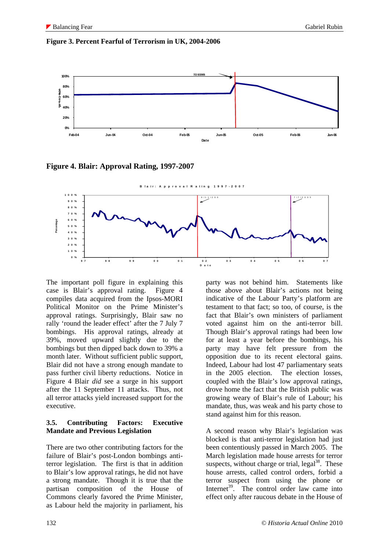#### **Figure 3. Percent Fearful of Terrorism in UK, 2004-2006**



**Figure 4. Blair: Approval Rating, 1997-2007** 



The important poll figure in explaining this case is Blair's approval rating. Figure 4 compiles data acquired from the Ipsos-MORI Political Monitor on the Prime Minister's approval ratings. Surprisingly, Blair saw no rally 'round the leader effect' after the 7 July 7 bombings. His approval ratings, already at 39%, moved upward slightly due to the bombings but then dipped back down to 39% a month later. Without sufficient public support, Blair did not have a strong enough mandate to pass further civil liberty reductions. Notice in Figure 4 Blair *did* see a surge in his support after the 11 September 11 attacks. Thus, not all terror attacks yield increased support for the executive.

#### **3.5. Contributing Factors: Executive Mandate and Previous Legislation**

There are two other contributing factors for the failure of Blair's post-London bombings antiterror legislation. The first is that in addition to Blair's low approval ratings, he did not have a strong mandate. Though it is true that the partisan composition of the House of Commons clearly favored the Prime Minister, as Labour held the majority in parliament, his party was not behind him. Statements like those above about Blair's actions not being indicative of the Labour Party's platform are testament to that fact; so too, of course, is the fact that Blair's own ministers of parliament voted against him on the anti-terror bill. Though Blair's approval ratings had been low for at least a year before the bombings, his party may have felt pressure from the opposition due to its recent electoral gains. Indeed, Labour had lost 47 parliamentary seats in the 2005 election. The election losses, coupled with the Blair's low approval ratings, drove home the fact that the British public was growing weary of Blair's rule of Labour; his mandate, thus, was weak and his party chose to stand against him for this reason.

A second reason why Blair's legislation was blocked is that anti-terror legislation had just been contentiously passed in March 2005. The March legislation made house arrests for terror suspects, without charge or trial,  $\text{legal}^{38}$ . These house arrests, called control orders, forbid a terror suspect from using the phone or Internet<sup>39</sup>. The control order law came into effect only after raucous debate in the House of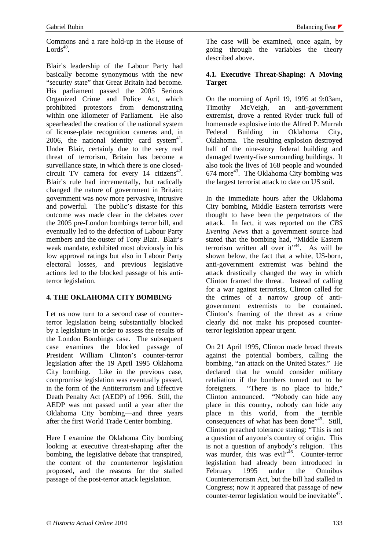Commons and a rare hold-up in the House of Lords $40$ 

Blair's leadership of the Labour Party had basically become synonymous with the new "security state" that Great Britain had become. His parliament passed the 2005 Serious Organized Crime and Police Act, which prohibited protestors from demonstrating within one kilometer of Parliament. He also spearheaded the creation of the national system of license-plate recognition cameras and, in 2006, the national identity card system $41$ . Under Blair, certainly due to the very real threat of terrorism, Britain has become a surveillance state, in which there is one closedcircuit TV camera for every 14 citizens<sup>42</sup>. Blair's rule had incrementally, but radically changed the nature of government in Britain; government was now more pervasive, intrusive and powerful. The public's distaste for this outcome was made clear in the debates over the 2005 pre-London bombings terror bill, and eventually led to the defection of Labour Party members and the ouster of Tony Blair. Blair's weak mandate, exhibited most obviously in his low approval ratings but also in Labour Party electoral losses, and previous legislative actions led to the blocked passage of his antiterror legislation.

## **4. THE OKLAHOMA CITY BOMBING**

Let us now turn to a second case of counterterror legislation being substantially blocked by a legislature in order to assess the results of the London Bombings case. The subsequent case examines the blocked passage of President William Clinton's counter-terror legislation after the 19 April 1995 Oklahoma City bombing. Like in the previous case, compromise legislation was eventually passed, in the form of the Antiterrorism and Effective Death Penalty Act (AEDP) of 1996. Still, the AEDP was not passed until a year after the Oklahoma City bombing—and three years after the first World Trade Center bombing.

Here I examine the Oklahoma City bombing looking at executive threat-shaping after the bombing, the legislative debate that transpired, the content of the counterterror legislation proposed, and the reasons for the stalled passage of the post-terror attack legislation.

The case will be examined, once again, by going through the variables the theory described above.

### **4.1. Executive Threat-Shaping: A Moving Target**

On the morning of April 19, 1995 at 9:03am, Timothy McVeigh, an anti-government extremist, drove a rented Ryder truck full of homemade explosive into the Alfred P. Murrah Federal Building in Oklahoma City, Oklahoma. The resulting explosion destroyed half of the nine-story federal building and damaged twenty-five surrounding buildings. It also took the lives of 168 people and wounded  $674$  more<sup>43</sup>. The Oklahoma City bombing was the largest terrorist attack to date on US soil.

In the immediate hours after the Oklahoma City bombing, Middle Eastern terrorists were thought to have been the perpetrators of the attack. In fact, it was reported on the *CBS Evening News* that a government source had stated that the bombing had, "Middle Eastern terrorism written all over  $it^{44}$ . As will be shown below, the fact that a white, US-born, anti-government extremist was behind the attack drastically changed the way in which Clinton framed the threat. Instead of calling for a war against terrorists, Clinton called for the crimes of a narrow group of antigovernment extremists to be contained. Clinton's framing of the threat as a crime clearly did not make his proposed counterterror legislation appear urgent.

On 21 April 1995, Clinton made broad threats against the potential bombers, calling the bombing, "an attack on the United States." He declared that he would consider military retaliation if the bombers turned out to be foreigners. "There is no place to hide," Clinton announced. "Nobody can hide any place in this country, nobody can hide any place in this world, from the terrible consequences of what has been done<sup>"45</sup>. Still, Clinton preached tolerance stating: "This is not a question of anyone's country of origin. This is not a question of anybody's religion. This was murder, this was evil<sup>"46</sup>. Counter-terror legislation had already been introduced in February 1995 under the Omnibus Counterterrorism Act, but the bill had stalled in Congress; now it appeared that passage of new counter-terror legislation would be inevitable<sup>47</sup>.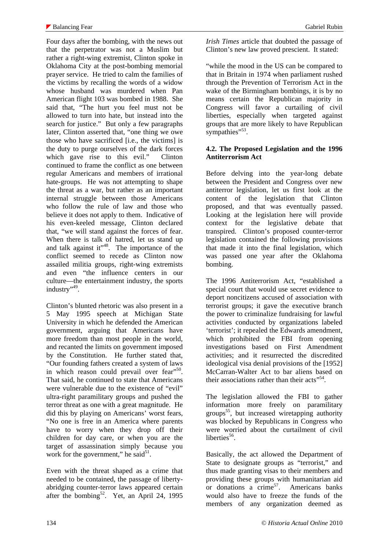Four days after the bombing, with the news out that the perpetrator was not a Muslim but rather a right-wing extremist, Clinton spoke in Oklahoma City at the post-bombing memorial prayer service. He tried to calm the families of the victims by recalling the words of a widow whose husband was murdered when Pan American flight 103 was bombed in 1988. She said that, "The hurt you feel must not be allowed to turn into hate, but instead into the search for justice." But only a few paragraphs later, Clinton asserted that, "one thing we owe those who have sacrificed [i.e., the victims] is the duty to purge ourselves of the dark forces which gave rise to this evil." Clinton continued to frame the conflict as one between regular Americans and members of irrational hate-groups. He was not attempting to shape the threat as a war, but rather as an important internal struggle between those Americans who follow the rule of law and those who believe it does not apply to them. Indicative of his even-keeled message, Clinton declared that, "we will stand against the forces of fear. When there is talk of hatred, let us stand up and talk against it" $^{48}$ . The importance of the conflict seemed to recede as Clinton now assailed militia groups, right-wing extremists and even "the influence centers in our culture—the entertainment industry, the sports industry",49.

Clinton's blunted rhetoric was also present in a 5 May 1995 speech at Michigan State University in which he defended the American government, arguing that Americans have more freedom than most people in the world, and recanted the limits on government imposed by the Constitution. He further stated that, "Our founding fathers created a system of laws in which reason could prevail over fear"<sup>50</sup>. That said, he continued to state that Americans were vulnerable due to the existence of "evil" ultra-right paramilitary groups and pushed the terror threat as one with a great magnitude. He did this by playing on Americans' worst fears, "No one is free in an America where parents have to worry when they drop off their children for day care, or when you are the target of assassination simply because you work for the government," he said $5^1$ .

Even with the threat shaped as a crime that needed to be contained, the passage of libertyabridging counter-terror laws appeared certain after the bombing<sup>52</sup>. Yet, an April 24, 1995

*Irish Times* article that doubted the passage of Clinton's new law proved prescient. It stated:

"while the mood in the US can be compared to that in Britain in 1974 when parliament rushed through the Prevention of Terrorism Act in the wake of the Birmingham bombings, it is by no means certain the Republican majority in Congress will favor a curtailing of civil liberties, especially when targeted against groups that are more likely to have Republican sympathies"<sup>53</sup>.

#### **4.2. The Proposed Legislation and the 1996 Antiterrorism Act**

Before delving into the year-long debate between the President and Congress over new antiterror legislation, let us first look at the content of the legislation that Clinton proposed, and that was eventually passed. Looking at the legislation here will provide context for the legislative debate that transpired. Clinton's proposed counter-terror legislation contained the following provisions that made it into the final legislation, which was passed one year after the Oklahoma bombing.

The 1996 Antiterrorism Act, "established a special court that would use secret evidence to deport noncitizens accused of association with terrorist groups; it gave the executive branch the power to criminalize fundraising for lawful activities conducted by organizations labeled 'terrorist'; it repealed the Edwards amendment, which prohibited the FBI from opening investigations based on First Amendment activities; and it resurrected the discredited ideological visa denial provisions of the [1952] McCarran-Walter Act to bar aliens based on their associations rather than their  $\arccos^{554}$ .

The legislation allowed the FBI to gather information more freely on paramilitary groups<sup>55</sup>, but increased wiretapping authority was blocked by Republicans in Congress who were worried about the curtailment of civil liberties $56$ .

Basically, the act allowed the Department of State to designate groups as "terrorist," and thus made granting visas to their members and providing these groups with humanitarian aid or donations a  $\text{crime}^{57}$ . Americans banks would also have to freeze the funds of the members of any organization deemed as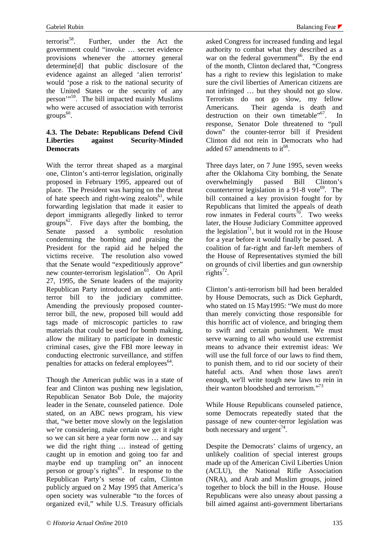terrorist<sup>58</sup>. Further, under the Act the government could "invoke … secret evidence provisions whenever the attorney general determine[d] that public disclosure of the evidence against an alleged 'alien terrorist' would 'pose a risk to the national security of the United States or the security of any person'"<sup>59</sup>. The bill impacted mainly Muslims who were accused of association with terrorist  $groups<sup>60</sup>$ .

### **4.3. The Debate: Republicans Defend Civil Liberties against Security-Minded Democrats**

With the terror threat shaped as a marginal one, Clinton's anti-terror legislation, originally proposed in February 1995, appeared out of place. The President was harping on the threat of hate speech and right-wing zealots<sup>61</sup>, while forwarding legislation that made it easier to deport immigrants allegedly linked to terror groups<sup>62</sup>. Five days after the bombing, the Senate passed a symbolic resolution condemning the bombing and praising the President for the rapid aid he helped the victims receive. The resolution also vowed that the Senate would "expeditiously approve" new counter-terrorism legislation<sup>63</sup>. On April 27, 1995, the Senate leaders of the majority Republican Party introduced an updated antiterror bill to the judiciary committee. Amending the previously proposed counterterror bill, the new, proposed bill would add tags made of microscopic particles to raw materials that could be used for bomb making, allow the military to participate in domestic criminal cases, give the FBI more leeway in conducting electronic surveillance, and stiffen penalties for attacks on federal employees  $64$ .

Though the American public was in a state of fear and Clinton was pushing new legislation, Republican Senator Bob Dole, the majority leader in the Senate, counseled patience. Dole stated, on an ABC news program, his view that, "we better move slowly on the legislation we're considering, make certain we get it right so we can sit here a year form now … and say we did the right thing … instead of getting caught up in emotion and going too far and maybe end up trampling on" an innocent person or group's rights<sup> $65$ </sup>. In response to the Republican Party's sense of calm, Clinton publicly argued on 2 May 1995 that America's open society was vulnerable "to the forces of organized evil," while U.S. Treasury officials

asked Congress for increased funding and legal authority to combat what they described as a war on the federal government<sup>66</sup>. By the end of the month, Clinton declared that, "Congress has a right to review this legislation to make sure the civil liberties of American citizens are not infringed … but they should not go slow. Terrorists do not go slow, my fellow Americans. Their agenda is death and destruction on their own timetable"<sup>67</sup>. In response, Senator Dole threatened to "pull down" the counter-terror bill if President Clinton did not rein in Democrats who had added 67 amendments to  $it^{68}$ .

Three days later, on 7 June 1995, seven weeks after the Oklahoma City bombing, the Senate overwhelmingly passed Bill Clinton's counterterror legislation in a  $91-8$  vote<sup>69</sup>. The bill contained a key provision fought for by Republicans that limited the appeals of death row inmates in Federal courts<sup>70</sup>. Two weeks later, the House Judiciary Committee approved the legislation<sup>71</sup>, but it would rot in the House for a year before it would finally be passed. A coalition of far-right and far-left members of the House of Representatives stymied the bill on grounds of civil liberties and gun ownership rights<sup>72</sup>.

Clinton's anti-terrorism bill had been heralded by House Democrats, such as Dick Gephardt, who stated on 15 May 1995: "We must do more than merely convicting those responsible for this horrific act of violence, and bringing them to swift and certain punishment. We must serve warning to all who would use extremist means to advance their extremist ideas: We will use the full force of our laws to find them. to punish them, and to rid our society of their hateful acts. And when those laws aren't enough, we'll write tough new laws to rein in their wanton bloodshed and terrorism."<sup>73</sup>

While House Republicans counseled patience, some Democrats repeatedly stated that the passage of new counter-terror legislation was both necessary and urgent<sup>74</sup>.

Despite the Democrats' claims of urgency, an unlikely coalition of special interest groups made up of the American Civil Liberties Union (ACLU), the National Rifle Association (NRA), and Arab and Muslim groups, joined together to block the bill in the House. House Republicans were also uneasy about passing a bill aimed against anti-government libertarians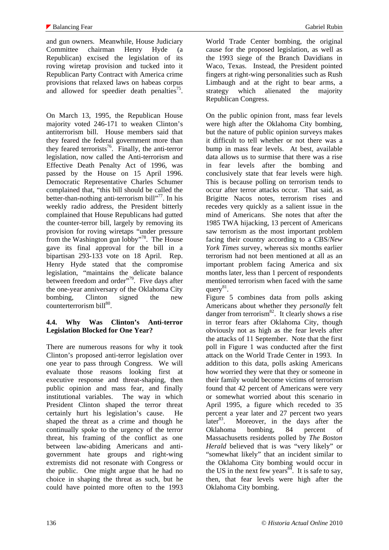and gun owners. Meanwhile, House Judiciary Committee chairman Henry Hyde (a Republican) excised the legislation of its roving wiretap provision and tucked into it Republican Party Contract with America crime provisions that relaxed laws on habeas corpus and allowed for speedier death penalties<sup>75</sup>.

On March 13, 1995, the Republican House majority voted 246-171 to weaken Clinton's antiterrorism bill. House members said that they feared the federal government more than they feared terrorists<sup>76</sup>. Finally, the anti-terror legislation, now called the Anti-terrorism and Effective Death Penalty Act of 1996, was passed by the House on 15 April 1996. Democratic Representative Charles Schumer complained that, "this bill should be called the better-than-nothing anti-terrorism bill"<sup>77</sup>. In his weekly radio address, the President bitterly complained that House Republicans had gutted the counter-terror bill, largely by removing its provision for roving wiretaps "under pressure from the Washington gun lobby"78. The House gave its final approval for the bill in a bipartisan 293-133 vote on 18 April. Rep. Henry Hyde stated that the compromise legislation, "maintains the delicate balance between freedom and order"<sup>79</sup>. Five days after the one-year anniversary of the Oklahoma City bombing, Clinton signed the new counterterrorism bill<sup>80</sup>.

# **4.4. Why Was Clinton's Anti-terror Legislation Blocked for One Year?**

There are numerous reasons for why it took Clinton's proposed anti-terror legislation over one year to pass through Congress. We will evaluate those reasons looking first at executive response and threat-shaping, then public opinion and mass fear, and finally institutional variables. The way in which President Clinton shaped the terror threat certainly hurt his legislation's cause. He shaped the threat as a crime and though he continually spoke to the urgency of the terror threat, his framing of the conflict as one between law-abiding Americans and antigovernment hate groups and right-wing extremists did not resonate with Congress or the public. One might argue that he had no choice in shaping the threat as such, but he could have pointed more often to the 1993 World Trade Center bombing, the original cause for the proposed legislation, as well as the 1993 siege of the Branch Davidians in Waco, Texas. Instead, the President pointed fingers at right-wing personalities such as Rush Limbaugh and at the right to bear arms, a strategy which alienated the majority Republican Congress.

On the public opinion front, mass fear levels were high after the Oklahoma City bombing, but the nature of public opinion surveys makes it difficult to tell whether or not there was a bump in mass fear levels. At best, available data allows us to surmise that there was a rise in fear levels after the bombing and conclusively state that fear levels were high. This is because polling on terrorism tends to occur after terror attacks occur. That said, as Brigitte Nacos notes, terrorism rises and recedes very quickly as a salient issue in the mind of Americans. She notes that after the 1985 TWA hijacking, 13 percent of Americans saw terrorism as the most important problem facing their country according to a CBS/*New York Times* survey, whereas six months earlier terrorism had not been mentioned at all as an important problem facing America and six months later, less than 1 percent of respondents mentioned terrorism when faced with the same query $81$ .

Figure 5 combines data from polls asking Americans about whether they *personally* felt danger from terrorism $^{82}$ . It clearly shows a rise in terror fears after Oklahoma City, though obviously not as high as the fear levels after the attacks of 11 September. Note that the first poll in Figure 1 was conducted after the first attack on the World Trade Center in 1993. In addition to this data, polls asking Americans how worried they were that they or someone in their family would become victims of terrorism found that 42 percent of Americans were very or somewhat worried about this scenario in April 1995, a figure which receded to 35 percent a year later and 27 percent two years<br>later<sup>83</sup>. Moreover, in the days after the Moreover, in the days after the Oklahoma bombing, 84 percent of Massachusetts residents polled by *The Boston Herald* believed that is was "very likely" or "somewhat likely" that an incident similar to the Oklahoma City bombing would occur in the US in the next few years  $84$ . It is safe to say, then, that fear levels were high after the Oklahoma City bombing.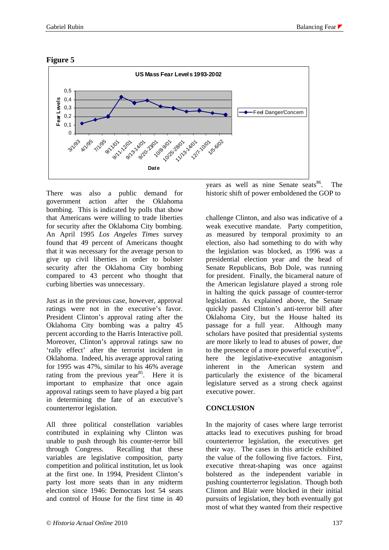

## **Figure 5**

There was also a public demand for government action after the Oklahoma bombing. This is indicated by polls that show that Americans were willing to trade liberties for security after the Oklahoma City bombing. An April 1995 *Los Angeles Times* survey found that 49 percent of Americans thought that it was necessary for the average person to give up civil liberties in order to bolster security after the Oklahoma City bombing compared to 43 percent who thought that curbing liberties was unnecessary.

Just as in the previous case, however, approval ratings were not in the executive's favor. President Clinton's approval rating after the Oklahoma City bombing was a paltry 45 percent according to the Harris Interactive poll. Moreover, Clinton's approval ratings saw no 'rally effect' after the terrorist incident in Oklahoma. Indeed, his average approval rating for 1995 was 47%, similar to his 46% average rating from the previous year<sup>85</sup>. Here it is important to emphasize that once again approval ratings seem to have played a big part in determining the fate of an executive's counterterror legislation.

All three political constellation variables contributed in explaining why Clinton was unable to push through his counter-terror bill through Congress. Recalling that these variables are legislative composition, party competition and political institution, let us look at the first one. In 1994, President Clinton's party lost more seats than in any midterm election since 1946: Democrats lost 54 seats and control of House for the first time in 40

years as well as nine Senate seats $86$ . The historic shift of power emboldened the GOP to

challenge Clinton, and also was indicative of a weak executive mandate. Party competition, as measured by temporal proximity to an election, also had something to do with why the legislation was blocked, as 1996 was a presidential election year and the head of Senate Republicans, Bob Dole, was running for president. Finally, the bicameral nature of the American legislature played a strong role in halting the quick passage of counter-terror legislation. As explained above, the Senate quickly passed Clinton's anti-terror bill after Oklahoma City, but the House halted its passage for a full year. Although many scholars have posited that presidential systems are more likely to lead to abuses of power, due to the presence of a more powerful executive $8^{\prime\prime}$ , here the legislative-executive antagonism inherent in the American system and particularly the existence of the bicameral legislature served as a strong check against executive power.

# **CONCLUSION**

In the majority of cases where large terrorist attacks lead to executives pushing for broad counterterror legislation, the executives get their way. The cases in this article exhibited the value of the following five factors. First, executive threat-shaping was once against bolstered as the independent variable in pushing counterterror legislation. Though both Clinton and Blair were blocked in their initial pursuits of legislation, they both eventually got most of what they wanted from their respective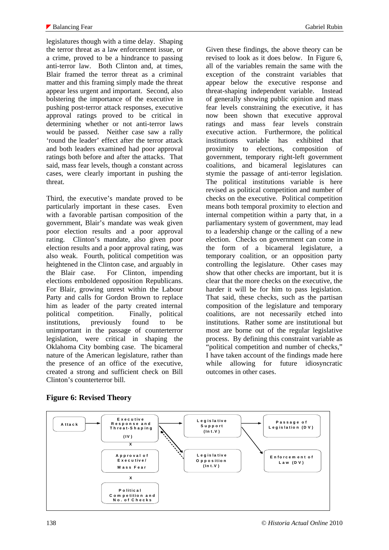legislatures though with a time delay. Shaping the terror threat as a law enforcement issue, or a crime, proved to be a hindrance to passing anti-terror law. Both Clinton and, at times, Blair framed the terror threat as a criminal matter and this framing simply made the threat appear less urgent and important. Second, also bolstering the importance of the executive in pushing post-terror attack responses, executive approval ratings proved to be critical in determining whether or not anti-terror laws would be passed. Neither case saw a rally 'round the leader' effect after the terror attack and both leaders examined had poor approval ratings both before and after the attacks. That said, mass fear levels, though a constant across cases, were clearly important in pushing the threat.

Third, the executive's mandate proved to be particularly important in these cases. Even with a favorable partisan composition of the government, Blair's mandate was weak given poor election results and a poor approval rating. Clinton's mandate, also given poor election results and a poor approval rating, was also weak. Fourth, political competition was heightened in the Clinton case, and arguably in the Blair case. For Clinton, impending elections emboldened opposition Republicans. For Blair, growing unrest within the Labour Party and calls for Gordon Brown to replace him as leader of the party created internal political competition. Finally, political institutions, previously found to be unimportant in the passage of counterterror legislation, were critical in shaping the Oklahoma City bombing case. The bicameral nature of the American legislature, rather than the presence of an office of the executive, created a strong and sufficient check on Bill Clinton's counterterror bill.

Given these findings, the above theory can be revised to look as it does below. In Figure 6, all of the variables remain the same with the exception of the constraint variables that appear below the executive response and threat-shaping independent variable. Instead of generally showing public opinion and mass fear levels constraining the executive, it has now been shown that executive approval ratings and mass fear levels constrain executive action. Furthermore, the political institutions variable has exhibited that proximity to elections, composition of government, temporary right-left government coalitions, and bicameral legislatures can stymie the passage of anti-terror legislation. The political institutions variable is here revised as political competition and number of checks on the executive. Political competition means both temporal proximity to election and internal competition within a party that, in a parliamentary system of government, may lead to a leadership change or the calling of a new election. Checks on government can come in the form of a bicameral legislature, a temporary coalition, or an opposition party controlling the legislature. Other cases may show that other checks are important, but it is clear that the more checks on the executive, the harder it will be for him to pass legislation. That said, these checks, such as the partisan composition of the legislature and temporary coalitions, are not necessarily etched into institutions. Rather some are institutional but most are borne out of the regular legislative process. By defining this constraint variable as "political competition and number of checks," I have taken account of the findings made here while allowing for future idiosyncratic outcomes in other cases.

# **Figure 6: Revised Theory**

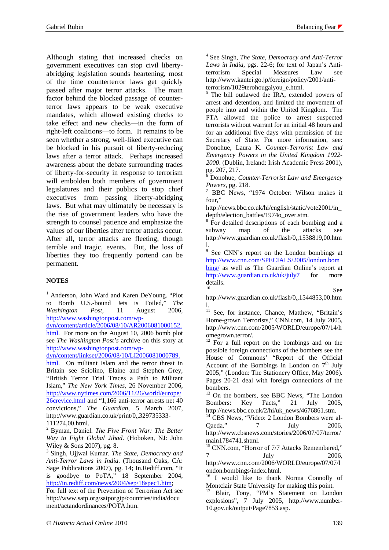Although stating that increased checks on government executives can stop civil libertyabridging legislation sounds heartening, most of the time counterterror laws get quickly passed after major terror attacks. The main factor behind the blocked passage of counterterror laws appears to be weak executive mandates, which allowed existing checks to take effect and new checks—in the form of right-left coalitions—to form. It remains to be seen whether a strong, well-liked executive can be blocked in his pursuit of liberty-reducing laws after a terror attack. Perhaps increased awareness about the debate surrounding trades of liberty-for-security in response to terrorism will embolden both members of government legislatures and their publics to stop chief executives from passing liberty-abridging laws. But what may ultimately be necessary is the rise of government leaders who have the strength to counsel patience and emphasize the values of our liberties after terror attacks occur. After all, terror attacks are fleeting, though terrible and tragic, events. But, the loss of liberties they too frequently portend can be permanent.

## **NOTES**

<sup>1</sup> Anderson, John Ward and Karen DeYoung. "Plot to Bomb U.S.-bound Jets is Foiled," *The Washington Post*, 11 August 2006, http://www.washingtonpost.com/wp-

dyn/content/article/2006/08/10/AR2006081000152. html. For more on the August 10, 2006 bomb plot see *The Washington Post's* archive on this story at http://www.washingtonpost.com/wp-

dyn/content/linkset/2006/08/10/LI2006081000789.

html. On militant Islam and the terror threat in Britain see Sciolino, Elaine and Stephen Grey, "British Terror Trial Traces a Path to Militant Islam," *The New York Times*, 26 November 2006, http://www.nytimes.com/2006/11/26/world/europe/ 26crevice.html and "1,166 anti-terror arrests net 40 convictions," *The Guardian*, 5 March 2007, http://www.guardian.co.uk/print/0,,329735333- 111274,00.html.

2 Byman, Daniel. *The Five Front War: The Better Way to Fight Global Jihad*. (Hoboken, NJ: John Wiley & Sons 2007), pg. 8.

3 Singh, Ujjwal Kumar. *The State, Democracy and Anti-Terror Laws in India*. (Thousand Oaks, CA: Sage Publications 2007), pg. 14; In.Rediff.com, "It is goodbye to PoTA," 18 September 2004, http://in.rediff.com/news/2004/sep/18spec1.htm;

For full text of the Prevention of Terrorism Act see http://www.satp.org/satporgtp/countries/india/docu ment/actandordinances/POTA.htm.

4 See Singh, *The State, Democracy and Anti-Terror Laws in India*, pgs. 22-6; for text of Japan's Antiterrorism Special Measures Law see http://www.kantei.go.jp/foreign/policy/2001/antiterrorism/1029terohougaiyou\_e.html.

<sup>5</sup> The bill outlawed the IRA, extended powers of arrest and detention, and limited the movement of people into and within the United Kingdom. The PTA allowed the police to arrest suspected terrorists without warrant for an initial 48 hours and for an additional five days with permission of the Secretary of State. For more information, see: Donohue, Laura K. *Counter-Terrorist Law and Emergency Powers in the United Kingdom 1922- 2000*. (Dublin, Ireland: Irish Academic Press 2001), pg. 207, 217.

6 Donohue, *Counter-Terrorist Law and Emergency Powers*, pg. 218.

 BBC News, "1974 October: Wilson makes it four,"

http://news.bbc.co.uk/hi/english/static/vote2001/in\_ depth/election\_battles/1974o\_over.stm.

<sup>8</sup> For detailed descriptions of each bombing and a subway map of the attacks see http://www.guardian.co.uk/flash/0,,1538819,00.htm

1.<br><sup>9</sup> See CNN's report on the London bombings at http://www.cnn.com/SPECIALS/2005/london.bom bing/ as well as The Guardian Online's report at http://www.guardian.co.uk/uk/july7 for more details.

10 See

http://www.guardian.co.uk/flash/0,,1544853,00.htm l.

<sup>11</sup> See, for instance, Chance, Matthew, "Britain's Home-grown Terrorists," CNN.com, 14 July 2005, http://www.cnn.com/2005/WORLD/europe/07/14/h omegrown.terror/.

 $12$  For a full report on the bombings and on the possible foreign connections of the bombers see the House of Commons' "Report of the Official Account of the Bombings in London on  $7<sup>th</sup>$  July 2005," (London: The Stationery Office, May 2006). Pages 20-21 deal with foreign connections of the bombers.

<sup>13</sup> On the bombers, see BBC News, "The London Bombers: Key Facts," 21 July 2005, http://news.bbc.co.uk/2/hi/uk\_news/4676861.stm.

<sup>14</sup> CBS News, "Video: 2 London Bombers were al-Qaeda," 7 July 2006, http://www.cbsnews.com/stories/2006/07/07/terror/ main1784741.shtml.

<sup>15</sup> CNN.com, "Horror of 7/7 Attacks Remembered," 7 July 2006, http://www.cnn.com/2006/WORLD/europe/07/07/l ondon.bombings/index.html.

<sup>16</sup> I would like to thank Norma Connolly of Montclair State University for making this point.

17 Blair, Tony, "PM's Statement on London explosions", 7 July 2005, http://www.number-10.gov.uk/output/Page7853.asp.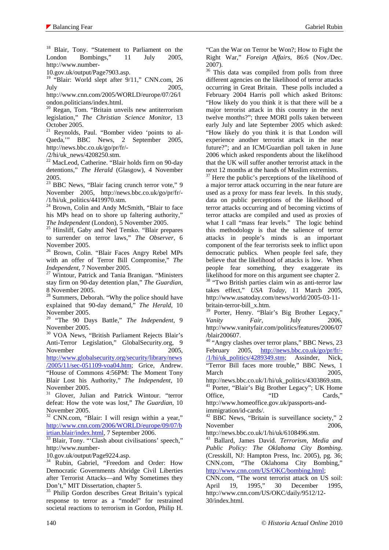<sup>18</sup> Blair, Tony. "Statement to Parliament on the London Bombings," 11 July 2005, http://www.number-

10.gov.uk/output/Page7903.asp.

<sup>19</sup> "Blair: World slept after 9/11," CNN.com, 26 July 2005,

http://www.cnn.com/2005/WORLD/europe/07/26/l ondon.politicians/index.html.

 $20$  Regan, Tom. "Britain unveils new antiterrorism legislation," *The Christian Science Monitor*, 13 October 2005.

21 Reynolds, Paul. "Bomber video 'points to al-Qaeda,'" BBC News, 2 September 2005, http://news.bbc.co.uk/go/pr/fr/-

/2/hi/uk\_news/4208250.stm.

<sup>22</sup> MacLeod, Catherine. "Blair holds firm on 90-day detentions," *The Herald* (Glasgow), 4 November 2005.

<sup>23</sup> BBC News, "Blair facing crunch terror vote," 9 November 2005, http://news.bbc.co.uk/go/pr/fr/- /1/hi/uk\_politics/4419970.stm.

<sup>24</sup> Brown, Colin and Andy McSmith, "Blair to face his MPs head on to shore up faltering authority,"

*The Independent* (London), 5 November 2005. 25 Hinsliff, Gaby and Ned Temko. "Blair prepares to surrender on terror laws," *The Observer*, 6 November 2005.

26 Brown, Colin. "Blair Faces Angry Rebel MPs with an offer of Terror Bill Compromise," *The* 

*Independent*, 7 November 2005.<br><sup>27</sup> Wintour, Patrick and Tania Branigan. "Ministers stay firm on 90-day detention plan," *The Guardian*, 8 November 2005.

<sup>28</sup> Summers, Deborah. "Why the police should have explained that 90-day demand," *The Herald*, 10 November 2005.

29 "The 90 Days Battle," *The Independent*, 9 November 2005.

30 VOA News, "British Parliament Rejects Blair's Anti-Terror Legislation," GlobalSecurity.org, 9 November 2005.

http://www.globalsecurity.org/security/library/news

/2005/11/sec-051109-voa04.htm; Grice, Andrew. "House of Commons 4:56PM: The Moment Tony Blair Lost his Authority," *The Independent*, 10 November 2005.

<sup>31</sup> Glover, Julian and Patrick Wintour. "terror defeat: How the vote was lost," *The Guardian*, 10 November 2005.

32 CNN.com, "Blair: I will resign within a year," http://www.cnn.com/2006/WORLD/europe/09/07/b<br>irtian.blair/index.html. 7 September 2006.

<sup>33</sup> Blair, Tony. "'Clash about civilisations' speech," http://www.number-

10.gov.uk/output/Page9224.asp.

<sup>34</sup> Rubin, Gabriel, "Freedom and Order: How Democratic Governments Abridge Civil Liberties after Terrorist Attacks—and Why Sometimes they Don't," MIT Dissertation, chapter 5.

<sup>35</sup> Philip Gordon describes Great Britain's typical response to terror as a "model" for restrained societal reactions to terrorism in Gordon, Philip H.

"Can the War on Terror be Won?; How to Fight the Right War," *Foreign Affairs*, 86:6 (Nov./Dec. 2007).

<sup>36</sup> This data was compiled from polls from three different agencies on the likelihood of terror attacks occurring in Great Britain. These polls included a February 2004 Harris poll which asked Britons: "How likely do you think it is that there will be a major terrorist attack in this country in the next twelve months?"; three MORI polls taken between early July and late September 2005 which asked: "How likely do you think it is that London will experience another terrorist attack in the near future?"; and an ICM/Guardian poll taken in June 2006 which asked respondents about the likelihood that the UK will suffer another terrorist attack in the next 12 months at the hands of Muslim extremists.

 $37$  Here the public's perceptions of the likelihood of a major terror attack occurring in the near future are used as a proxy for mass fear levels. In this study, data on public perceptions of the likelihood of terror attacks occurring and of becoming victims of terror attacks are compiled and used as proxies of what I call "mass fear levels." The logic behind this methodology is that the salience of terror attacks in people's minds is an important component of the fear terrorists seek to inflict upon democratic publics. When people feel safe, they believe that the likelihood of attacks is low. When people fear something, they exaggerate its likelihood for more on this argument see chapter 2. 38 "Two British parties claim win as anti-terror law

takes effect," *USA Today*, 11 March 2005, http://www.usatoday.com/news/world/2005-03-11 britain-terror-bill\_x.htm.

Porter, Henry. "Blair's Big Brother Legacy," *Vanity Fair*, July 2006, http://www.vanityfair.com/politics/features/2006/07 /blair200607.

<sup>40</sup> "Angry clashes over terror plans," BBC News, 23 February 2005, http://news.bbc.co.uk/go/pr/fr/- /1/hi/uk\_politics/4289349.stm; Assinder, Nick, "Terror Bill faces more trouble," BBC News, 1 March 2005,

http://news.bbc.co.uk/1/hi/uk\_politics/4303869.stm. 41 Porter, "Blair's Big Brother Legacy"; UK Home Office, "ID Cards," http://www.homeoffice.gov.uk/passports-andimmigration/id-cards/.

 $42$  BBC News, "Britain is surveillance society," 2 November 2006.

http://news.bbc.co.uk/1/hi/uk/6108496.stm.

43 Ballard, James David. *Terrorism, Media and Public Policy: The Oklahoma City Bombing*. (Cresskill, NJ: Hampton Press, Inc. 2005), pg. 36; CNN.com, "The Oklahoma City Bombing," http://www.cnn.com/US/OKC/bombing.html;

CNN.com, "The worst terrorist attack on US soil: April 19, 1995," 30 December 1995, http://www.cnn.com/US/OKC/daily/9512/12- 30/index.html.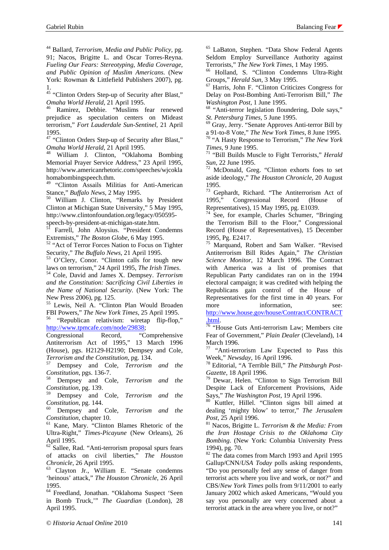44 Ballard, *Terrorism, Media and Public Policy*, pg. 91; Nacos, Brigitte L. and Oscar Torres-Reyna. *Fueling Our Fears: Stereotyping, Media Coverage, and Public Opinion of Muslim Americans*. (New York: Rowman & Littlefield Publishers 2007), pg. 1.

<sup>45</sup> "Clinton Orders Step-up of Security after Blast," *Omaha World Herald*, 21 April 1995. 46 Ramirez, Debbie. "Muslims fear renewed

prejudice as speculation centers on Mideast terrorism," *Fort Lauderdale Sun-Sentinel*, 21 April 1995.

47 "Clinton Orders Step-up of Security after Blast," *Omaha World Herald*, 21 April 1995. 48 William J. Clinton, "Oklahoma Bombing

Memorial Prayer Service Address," 23 April 1995, http://www.americanrhetoric.com/speeches/wjcokla homabombingspeech.thm.

49 "Clinton Assails Militias for Anti-American Stance," *Buffalo News*, 2 May 1995.<br><sup>50</sup> William J. Clinton, "Remarks by President

Clinton at Michigan State University," 5 May 1995, http://www.clintonfoundation.org/legacy/050595-

speech-by-president-at-michigan-state.htm.

 $5\overline{1}$  Farrell, John Aloysius. "President Condemns Extremists," The Boston Globe, 6 May 1995.

<sup>52</sup> "Act of Terror Forces Nation to Focus on Tighter

Security," *The Buffalo News*, 21 April 1995.<br><sup>53</sup> O'Clery, Conor. "Clinton calls for tough new laws on terrorism," 24 April 1995, *The Irish Times*.

<sup>54</sup> Cole, David and James X. Dempsey. *Terrorism and the Constitution: Sacrificing Civil Liberties in the Name of National Security*. (New York: The New Press 2006), pg. 125.

<sup>55</sup> Lewis, Neil A. "Clinton Plan Would Broaden FBI Powers," *The New York Times*, 25 April 1995.

<sup>56</sup> "Republican relativism: wiretap flip-flop," http://www.tpmcafe.com/node/29838;

Congressional Record, "Comprehensive Antiterrorism Act of 1995," 13 March 1996 (House), pgs. H2129-H2190; Dempsey and Cole,

*Terrorism and the Constitution*, pg. 134. 57 Dempsey and Cole, *Terrorism and the* 

*Constitution*, pgs. 136-7. 58 Dempsey and Cole, *Terrorism and the Constitution*, pg. 139.

59 Dempsey and Cole, *Terrorism and the* 

*Constitution*, pg. 144.<br><sup>60</sup> Dempsey and Cole, *Terrorism and the Constitution*, chapter 10.

<sup>61</sup> Kane, Mary. "Clinton Blames Rhetoric of the Ultra-Right," *Times-Picayune* (New Orleans), 26 April 1995.

Sallee, Rad. "Anti-terrorism proposal spurs fears of attacks on civil liberties," *The Houston Chronicle*, 26 April 1995. 63 Clayton Jr., William E. "Senate condemns

'heinous' attack," *The Houston Chronicle*, 26 April 1995.

64 Freedland, Jonathan. "Oklahoma Suspect 'Seen in Bomb Truck,'" *The Guardian* (London), 28 April 1995.

65 LaBaton, Stephen. "Data Show Federal Agents Seldom Employ Surveillance Authority against

Terrorists," *The New York Times*, 1 May 1995.<br><sup>66</sup> Holland, S. "Clinton Condemns Ultra-Right<br>Groups," *Herald Sun*, 3 May 1995.

<sup>67</sup> Harris, John F. "Clinton Criticizes Congress for Delay on Post-Bombing Anti-Terrorism Bill," *The* 

*Washington Post*, 1 June 1995.<br><sup>68</sup> "Anti-terror legislation floundering, Dole says,"

*St. Petersburg Times*, 5 June 1995.<br><sup>69</sup> Gray, Jerry. "Senate Approves Anti-terror Bill by<br>a 91-to-8 Vote," *The New York Times*, 8 June 1995.

<sup>70</sup> "A Hasty Response to Terrorism," *The New York Times*, 9 June 1995.<br><sup>71</sup> "Bill Builds Muscle to Fight Terrorists," *Herald* 

*Sun*, 22 June 1995. 72 McDonald, Greg. "Clinton exhorts foes to set

aside ideology," *The Houston Chronicle*, 20 August 1995.

73 Gephardt, Richard. "The Antiterrorism Act of 1995," Congressional Record (House of Representatives), 15 May 1995, pg. E1039.

74 See, for example, Charles Schumer, "Bringing the Terrorism Bill to the Floor," Congressional Record (House of Representatives), 15 December 1995, Pg. E2417.

<sup>75</sup> Marquand, Robert and Sam Walker. "Revised Antiterrorism Bill Rides Again," *The Christian Science Monitor*, 12 March 1996. The Contract with America was a list of promises that Republican Party candidates ran on in the 1994 electoral campaign; it was credited with helping the Republicans gain control of the House of Representatives for the first time in 40 years. For more information, see: http://www.house.gov/house/Contract/CONTRACT

<sup>76</sup> "House Guts Anti-terrorism Law; Members cite

Fear of Government," *Plain Dealer* (Cleveland), 14 March 1996.

<sup>77</sup> "Anti-terrorism Law Expected to Pass this Week," *Newsday*, 16 April 1996.<br><sup>78</sup> Editorial, "A Terrible Bill," *The Pittsburgh Post-*

*Gazette*, 18 April 1996.<br><sup>79</sup> Dewar, Helen. "Clinton to Sign Terrorism Bill

Despite Lack of Enforcement Provisions, Aide

Says," *The Washington Post*, 19 April 1996. 80 Kuttler, Hillel. "Clinton signs bill aimed at dealing 'mighty blow' to terror," *The Jerusalem* 

*Post*, 25 April 1996.<br><sup>81</sup> Nacos, Brigitte L. *Terrorism & the Media: From the Iran Hostage Crisis to the Oklahoma City Bombing*. (New York: Columbia University Press 1994), pg. 70.

<sup>82</sup> The data comes from March 1993 and April 1995 Gallup/CNN/*USA Today* polls asking respondents, "Do you personally feel any sense of danger from terrorist acts where you live and work, or not?" and CBS/*New York Times* polls from 9/11/2001 to early January 2002 which asked Americans, "Would you say you personally are very concerned about a terrorist attack in the area where you live, or not?"